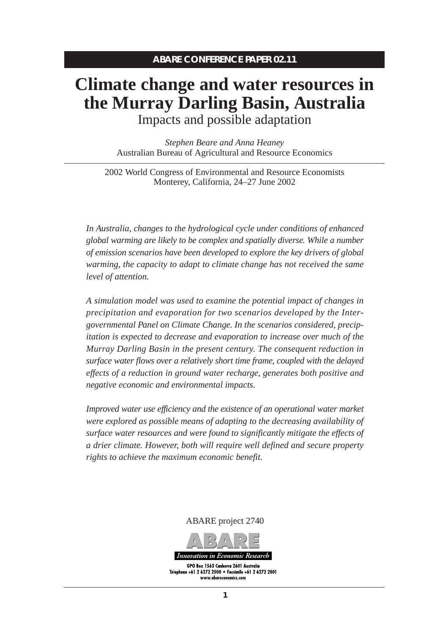# **Climate change and water resources in the Murray Darling Basin, Australia** Impacts and possible adaptation

*Stephen Beare and Anna Heaney* Australian Bureau of Agricultural and Resource Economics

2002 World Congress of Environmental and Resource Economists Monterey, California, 24–27 June 2002

*In Australia, changes to the hydrological cycle under conditions of enhanced global warming are likely to be complex and spatially diverse. While a number of emission scenarios have been developed to explore the key drivers of global warming, the capacity to adapt to climate change has not received the same level of attention.*

*A simulation model was used to examine the potential impact of changes in precipitation and evaporation for two scenarios developed by the Intergovernmental Panel on Climate Change. In the scenarios considered, precipitation is expected to decrease and evaporation to increase over much of the Murray Darling Basin in the present century. The consequent reduction in surface water flows over a relatively short time frame, coupled with the delayed effects of a reduction in ground water recharge, generates both positive and negative economic and environmental impacts.*

*Improved water use efficiency and the existence of an operational water market were explored as possible means of adapting to the decreasing availability of surface water resources and were found to significantly mitigate the effects of a drier climate. However, both will require well defined and secure property rights to achieve the maximum economic benefit.*

ABARE project 2740

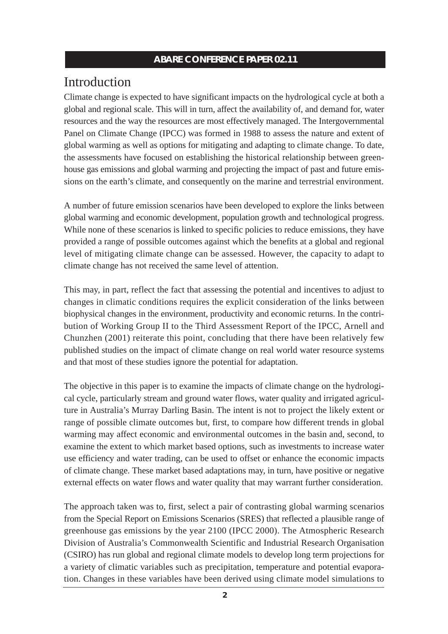## Introduction

Climate change is expected to have significant impacts on the hydrological cycle at both a global and regional scale. This will in turn, affect the availability of, and demand for, water resources and the way the resources are most effectively managed. The Intergovernmental Panel on Climate Change (IPCC) was formed in 1988 to assess the nature and extent of global warming as well as options for mitigating and adapting to climate change. To date, the assessments have focused on establishing the historical relationship between greenhouse gas emissions and global warming and projecting the impact of past and future emissions on the earth's climate, and consequently on the marine and terrestrial environment.

A number of future emission scenarios have been developed to explore the links between global warming and economic development, population growth and technological progress. While none of these scenarios is linked to specific policies to reduce emissions, they have provided a range of possible outcomes against which the benefits at a global and regional level of mitigating climate change can be assessed. However, the capacity to adapt to climate change has not received the same level of attention.

This may, in part, reflect the fact that assessing the potential and incentives to adjust to changes in climatic conditions requires the explicit consideration of the links between biophysical changes in the environment, productivity and economic returns. In the contribution of Working Group II to the Third Assessment Report of the IPCC, Arnell and Chunzhen (2001) reiterate this point, concluding that there have been relatively few published studies on the impact of climate change on real world water resource systems and that most of these studies ignore the potential for adaptation.

The objective in this paper is to examine the impacts of climate change on the hydrological cycle, particularly stream and ground water flows, water quality and irrigated agriculture in Australia's Murray Darling Basin. The intent is not to project the likely extent or range of possible climate outcomes but, first, to compare how different trends in global warming may affect economic and environmental outcomes in the basin and, second, to examine the extent to which market based options, such as investments to increase water use efficiency and water trading, can be used to offset or enhance the economic impacts of climate change. These market based adaptations may, in turn, have positive or negative external effects on water flows and water quality that may warrant further consideration.

The approach taken was to, first, select a pair of contrasting global warming scenarios from the Special Report on Emissions Scenarios (SRES) that reflected a plausible range of greenhouse gas emissions by the year 2100 (IPCC 2000). The Atmospheric Research Division of Australia's Commonwealth Scientific and Industrial Research Organisation (CSIRO) has run global and regional climate models to develop long term projections for a variety of climatic variables such as precipitation, temperature and potential evaporation. Changes in these variables have been derived using climate model simulations to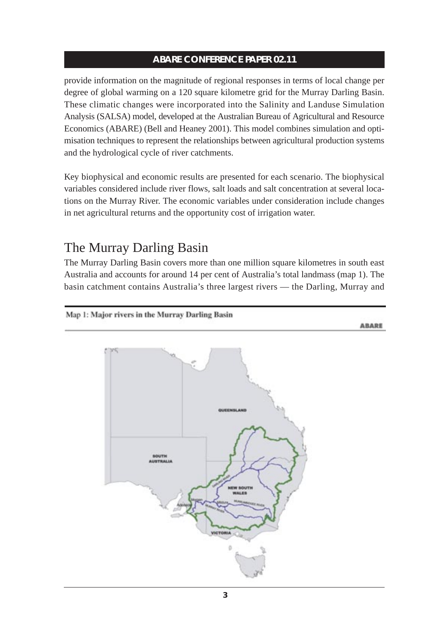provide information on the magnitude of regional responses in terms of local change per degree of global warming on a 120 square kilometre grid for the Murray Darling Basin. These climatic changes were incorporated into the Salinity and Landuse Simulation Analysis (SALSA) model, developed at the Australian Bureau of Agricultural and Resource Economics (ABARE) (Bell and Heaney 2001). This model combines simulation and optimisation techniques to represent the relationships between agricultural production systems and the hydrological cycle of river catchments.

Key biophysical and economic results are presented for each scenario. The biophysical variables considered include river flows, salt loads and salt concentration at several locations on the Murray River. The economic variables under consideration include changes in net agricultural returns and the opportunity cost of irrigation water.

## The Murray Darling Basin

The Murray Darling Basin covers more than one million square kilometres in south east Australia and accounts for around 14 per cent of Australia's total landmass (map 1). The basin catchment contains Australia's three largest rivers — the Darling, Murray and

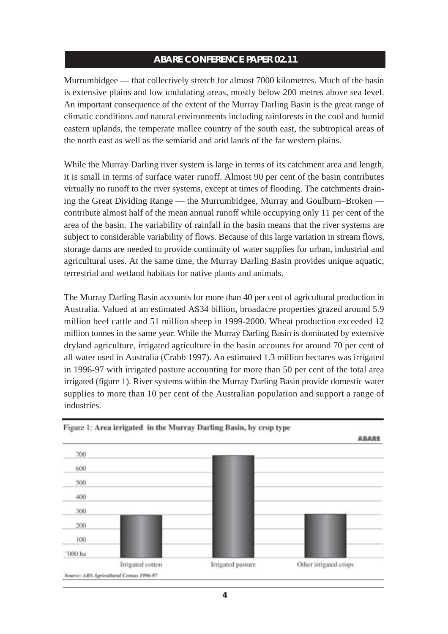Murrumbidgee — that collectively stretch for almost 7000 kilometres. Much of the basin is extensive plains and low undulating areas, mostly below 200 metres above sea level. An important consequence of the extent of the Murray Darling Basin is the great range of climatic conditions and natural environments including rainforests in the cool and humid eastern uplands, the temperate mallee country of the south east, the subtropical areas of the north east as well as the semiarid and arid lands of the far western plains.

While the Murray Darling river system is large in terms of its catchment area and length, it is small in terms of surface water runoff. Almost 90 per cent of the basin contributes virtually no runoff to the river systems, except at times of flooding. The catchments draining the Great Dividing Range — the Murrumbidgee, Murray and Goulburn–Broken contribute almost half of the mean annual runoff while occupying only 11 per cent of the area of the basin. The variability of rainfall in the basin means that the river systems are subject to considerable variability of flows. Because of this large variation in stream flows, storage dams are needed to provide continuity of water supplies for urban, industrial and agricultural uses. At the same time, the Murray Darling Basin provides unique aquatic, terrestrial and wetland habitats for native plants and animals.

The Murray Darling Basin accounts for more than 40 per cent of agricultural production in Australia. Valued at an estimated A\$34 billion, broadacre properties grazed around 5.9 million beef cattle and 51 million sheep in 1999-2000. Wheat production exceeded 12 million tonnes in the same year. While the Murray Darling Basin is dominated by extensive dryland agriculture, irrigated agriculture in the basin accounts for around 70 per cent of all water used in Australia (Crabb 1997). An estimated 1.3 million hectares was irrigated in 1996-97 with irrigated pasture accounting for more than 50 per cent of the total area irrigated (figure 1). River systems within the Murray Darling Basin provide domestic water supplies to more than 10 per cent of the Australian population and support a range of industries.



Figure 1: Area irrigated in the Murray Darling Basin, by crop type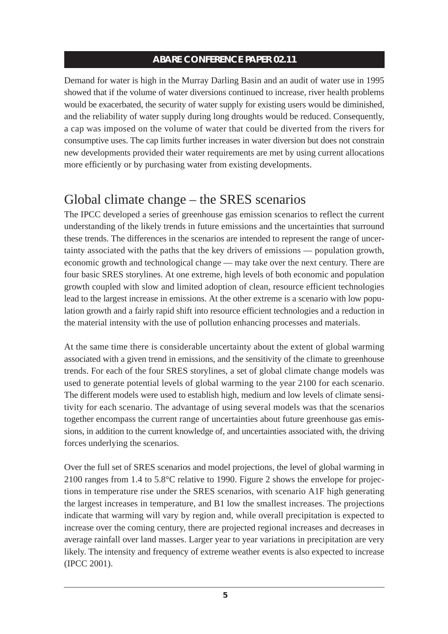Demand for water is high in the Murray Darling Basin and an audit of water use in 1995 showed that if the volume of water diversions continued to increase, river health problems would be exacerbated, the security of water supply for existing users would be diminished, and the reliability of water supply during long droughts would be reduced. Consequently, a cap was imposed on the volume of water that could be diverted from the rivers for consumptive uses. The cap limits further increases in water diversion but does not constrain new developments provided their water requirements are met by using current allocations more efficiently or by purchasing water from existing developments.

## Global climate change – the SRES scenarios

The IPCC developed a series of greenhouse gas emission scenarios to reflect the current understanding of the likely trends in future emissions and the uncertainties that surround these trends. The differences in the scenarios are intended to represent the range of uncertainty associated with the paths that the key drivers of emissions — population growth, economic growth and technological change — may take over the next century. There are four basic SRES storylines. At one extreme, high levels of both economic and population growth coupled with slow and limited adoption of clean, resource efficient technologies lead to the largest increase in emissions. At the other extreme is a scenario with low population growth and a fairly rapid shift into resource efficient technologies and a reduction in the material intensity with the use of pollution enhancing processes and materials.

At the same time there is considerable uncertainty about the extent of global warming associated with a given trend in emissions, and the sensitivity of the climate to greenhouse trends. For each of the four SRES storylines, a set of global climate change models was used to generate potential levels of global warming to the year 2100 for each scenario. The different models were used to establish high, medium and low levels of climate sensitivity for each scenario. The advantage of using several models was that the scenarios together encompass the current range of uncertainties about future greenhouse gas emissions, in addition to the current knowledge of, and uncertainties associated with, the driving forces underlying the scenarios.

Over the full set of SRES scenarios and model projections, the level of global warming in 2100 ranges from 1.4 to 5.8°C relative to 1990. Figure 2 shows the envelope for projections in temperature rise under the SRES scenarios, with scenario A1F high generating the largest increases in temperature, and B1 low the smallest increases. The projections indicate that warming will vary by region and, while overall precipitation is expected to increase over the coming century, there are projected regional increases and decreases in average rainfall over land masses. Larger year to year variations in precipitation are very likely. The intensity and frequency of extreme weather events is also expected to increase (IPCC 2001).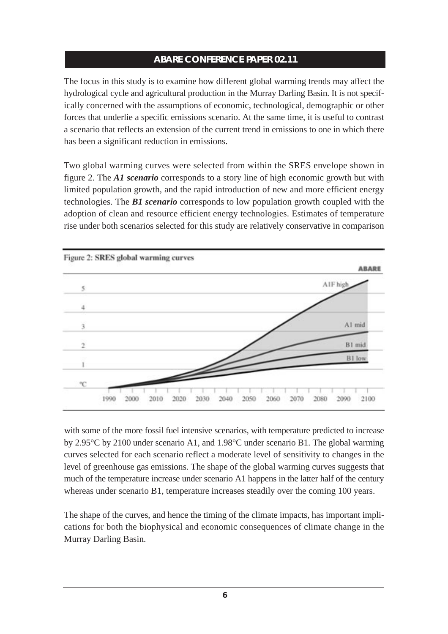The focus in this study is to examine how different global warming trends may affect the hydrological cycle and agricultural production in the Murray Darling Basin. It is not specifically concerned with the assumptions of economic, technological, demographic or other forces that underlie a specific emissions scenario. At the same time, it is useful to contrast a scenario that reflects an extension of the current trend in emissions to one in which there has been a significant reduction in emissions.

Two global warming curves were selected from within the SRES envelope shown in figure 2. The *A1 scenario* corresponds to a story line of high economic growth but with limited population growth, and the rapid introduction of new and more efficient energy technologies. The *B1 scenario* corresponds to low population growth coupled with the adoption of clean and resource efficient energy technologies. Estimates of temperature rise under both scenarios selected for this study are relatively conservative in comparison



with some of the more fossil fuel intensive scenarios, with temperature predicted to increase by 2.95°C by 2100 under scenario A1, and 1.98°C under scenario B1. The global warming curves selected for each scenario reflect a moderate level of sensitivity to changes in the level of greenhouse gas emissions. The shape of the global warming curves suggests that much of the temperature increase under scenario A1 happens in the latter half of the century whereas under scenario B1, temperature increases steadily over the coming 100 years.

The shape of the curves, and hence the timing of the climate impacts, has important implications for both the biophysical and economic consequences of climate change in the Murray Darling Basin.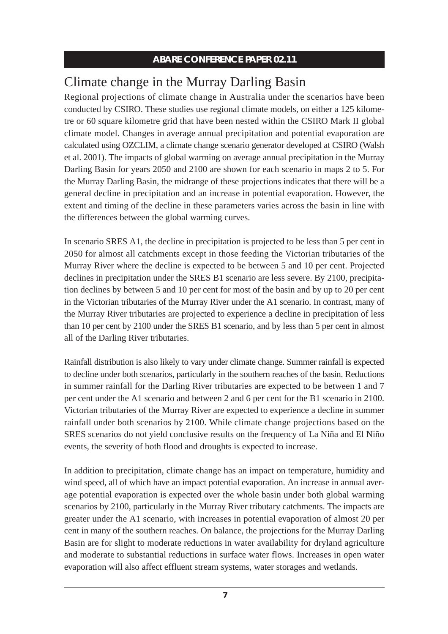# Climate change in the Murray Darling Basin

Regional projections of climate change in Australia under the scenarios have been conducted by CSIRO. These studies use regional climate models, on either a 125 kilometre or 60 square kilometre grid that have been nested within the CSIRO Mark II global climate model. Changes in average annual precipitation and potential evaporation are calculated using OZCLIM, a climate change scenario generator developed at CSIRO (Walsh et al. 2001). The impacts of global warming on average annual precipitation in the Murray Darling Basin for years 2050 and 2100 are shown for each scenario in maps 2 to 5. For the Murray Darling Basin, the midrange of these projections indicates that there will be a general decline in precipitation and an increase in potential evaporation. However, the extent and timing of the decline in these parameters varies across the basin in line with the differences between the global warming curves.

In scenario SRES A1, the decline in precipitation is projected to be less than 5 per cent in 2050 for almost all catchments except in those feeding the Victorian tributaries of the Murray River where the decline is expected to be between 5 and 10 per cent. Projected declines in precipitation under the SRES B1 scenario are less severe. By 2100, precipitation declines by between 5 and 10 per cent for most of the basin and by up to 20 per cent in the Victorian tributaries of the Murray River under the A1 scenario. In contrast, many of the Murray River tributaries are projected to experience a decline in precipitation of less than 10 per cent by 2100 under the SRES B1 scenario, and by less than 5 per cent in almost all of the Darling River tributaries.

Rainfall distribution is also likely to vary under climate change. Summer rainfall is expected to decline under both scenarios, particularly in the southern reaches of the basin. Reductions in summer rainfall for the Darling River tributaries are expected to be between 1 and 7 per cent under the A1 scenario and between 2 and 6 per cent for the B1 scenario in 2100. Victorian tributaries of the Murray River are expected to experience a decline in summer rainfall under both scenarios by 2100. While climate change projections based on the SRES scenarios do not yield conclusive results on the frequency of La Niña and El Niño events, the severity of both flood and droughts is expected to increase.

In addition to precipitation, climate change has an impact on temperature, humidity and wind speed, all of which have an impact potential evaporation. An increase in annual average potential evaporation is expected over the whole basin under both global warming scenarios by 2100, particularly in the Murray River tributary catchments. The impacts are greater under the A1 scenario, with increases in potential evaporation of almost 20 per cent in many of the southern reaches. On balance, the projections for the Murray Darling Basin are for slight to moderate reductions in water availability for dryland agriculture and moderate to substantial reductions in surface water flows. Increases in open water evaporation will also affect effluent stream systems, water storages and wetlands.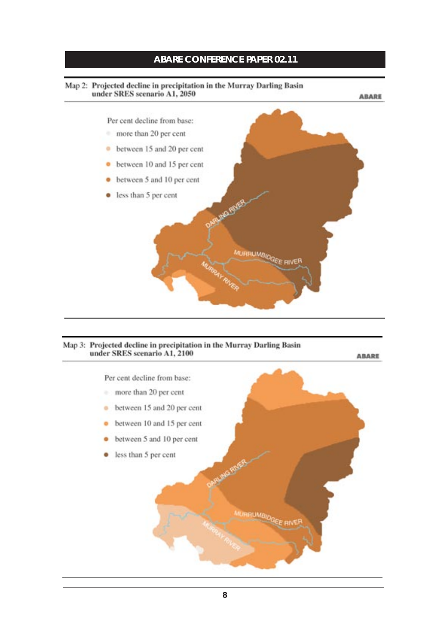#### Map 2: Projected decline in precipitation in the Murray Darling Basin under SRES scenario A1, 2050



#### Map 3: Projected decline in precipitation in the Murray Darling Basin under SRES scenario A1, 2100

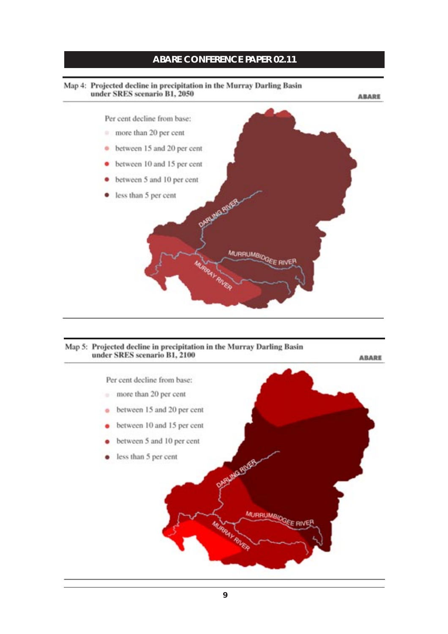#### Map 4: Projected decline in precipitation in the Murray Darling Basin under SRES scenario B1, 2050



#### Map 5: Projected decline in precipitation in the Murray Darling Basin under SRES scenario B1, 2100

Per cent decline from base: more than 20 per cent  $\alpha'$  $\bullet$  between 15 and 20 per cent between 10 and 15 per cent ٠ between 5 and 10 per cent less than 5 per cent **MAG EVER** MURRUMBIOGEE RIVER IRRAY RIVER

**ABARE**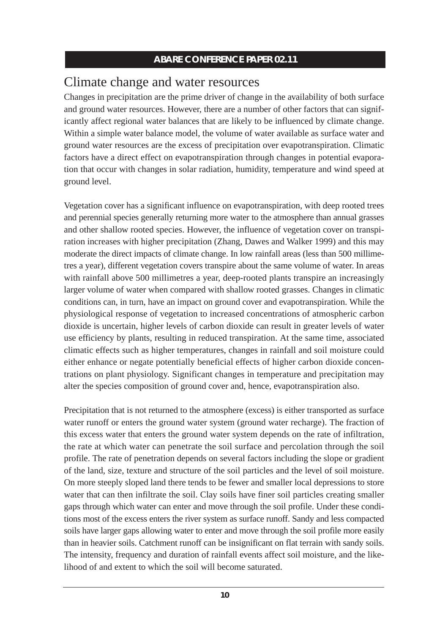## Climate change and water resources

Changes in precipitation are the prime driver of change in the availability of both surface and ground water resources. However, there are a number of other factors that can significantly affect regional water balances that are likely to be influenced by climate change. Within a simple water balance model, the volume of water available as surface water and ground water resources are the excess of precipitation over evapotranspiration. Climatic factors have a direct effect on evapotranspiration through changes in potential evaporation that occur with changes in solar radiation, humidity, temperature and wind speed at ground level.

Vegetation cover has a significant influence on evapotranspiration, with deep rooted trees and perennial species generally returning more water to the atmosphere than annual grasses and other shallow rooted species. However, the influence of vegetation cover on transpiration increases with higher precipitation (Zhang, Dawes and Walker 1999) and this may moderate the direct impacts of climate change. In low rainfall areas (less than 500 millimetres a year), different vegetation covers transpire about the same volume of water. In areas with rainfall above 500 millimetres a year, deep-rooted plants transpire an increasingly larger volume of water when compared with shallow rooted grasses. Changes in climatic conditions can, in turn, have an impact on ground cover and evapotranspiration. While the physiological response of vegetation to increased concentrations of atmospheric carbon dioxide is uncertain, higher levels of carbon dioxide can result in greater levels of water use efficiency by plants, resulting in reduced transpiration. At the same time, associated climatic effects such as higher temperatures, changes in rainfall and soil moisture could either enhance or negate potentially beneficial effects of higher carbon dioxide concentrations on plant physiology. Significant changes in temperature and precipitation may alter the species composition of ground cover and, hence, evapotranspiration also.

Precipitation that is not returned to the atmosphere (excess) is either transported as surface water runoff or enters the ground water system (ground water recharge). The fraction of this excess water that enters the ground water system depends on the rate of infiltration, the rate at which water can penetrate the soil surface and percolation through the soil profile. The rate of penetration depends on several factors including the slope or gradient of the land, size, texture and structure of the soil particles and the level of soil moisture. On more steeply sloped land there tends to be fewer and smaller local depressions to store water that can then infiltrate the soil. Clay soils have finer soil particles creating smaller gaps through which water can enter and move through the soil profile. Under these conditions most of the excess enters the river system as surface runoff. Sandy and less compacted soils have larger gaps allowing water to enter and move through the soil profile more easily than in heavier soils. Catchment runoff can be insignificant on flat terrain with sandy soils. The intensity, frequency and duration of rainfall events affect soil moisture, and the likelihood of and extent to which the soil will become saturated.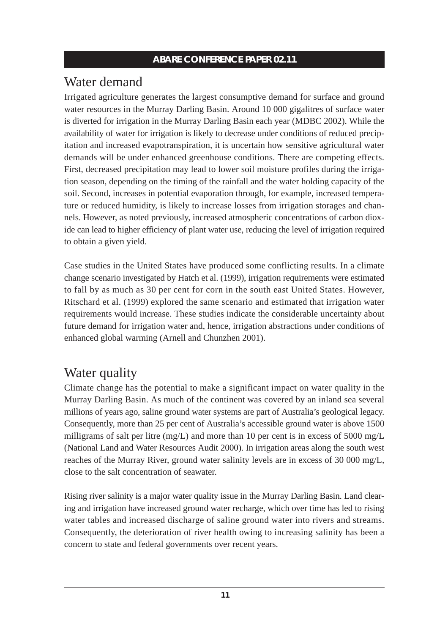# Water demand

Irrigated agriculture generates the largest consumptive demand for surface and ground water resources in the Murray Darling Basin. Around 10 000 gigalitres of surface water is diverted for irrigation in the Murray Darling Basin each year (MDBC 2002). While the availability of water for irrigation is likely to decrease under conditions of reduced precipitation and increased evapotranspiration, it is uncertain how sensitive agricultural water demands will be under enhanced greenhouse conditions. There are competing effects. First, decreased precipitation may lead to lower soil moisture profiles during the irrigation season, depending on the timing of the rainfall and the water holding capacity of the soil. Second, increases in potential evaporation through, for example, increased temperature or reduced humidity, is likely to increase losses from irrigation storages and channels. However, as noted previously, increased atmospheric concentrations of carbon dioxide can lead to higher efficiency of plant water use, reducing the level of irrigation required to obtain a given yield.

Case studies in the United States have produced some conflicting results. In a climate change scenario investigated by Hatch et al. (1999), irrigation requirements were estimated to fall by as much as 30 per cent for corn in the south east United States. However, Ritschard et al. (1999) explored the same scenario and estimated that irrigation water requirements would increase. These studies indicate the considerable uncertainty about future demand for irrigation water and, hence, irrigation abstractions under conditions of enhanced global warming (Arnell and Chunzhen 2001).

# Water quality

Climate change has the potential to make a significant impact on water quality in the Murray Darling Basin. As much of the continent was covered by an inland sea several millions of years ago, saline ground water systems are part of Australia's geological legacy. Consequently, more than 25 per cent of Australia's accessible ground water is above 1500 milligrams of salt per litre (mg/L) and more than 10 per cent is in excess of 5000 mg/L (National Land and Water Resources Audit 2000). In irrigation areas along the south west reaches of the Murray River, ground water salinity levels are in excess of 30 000 mg/L, close to the salt concentration of seawater.

Rising river salinity is a major water quality issue in the Murray Darling Basin. Land clearing and irrigation have increased ground water recharge, which over time has led to rising water tables and increased discharge of saline ground water into rivers and streams. Consequently, the deterioration of river health owing to increasing salinity has been a concern to state and federal governments over recent years.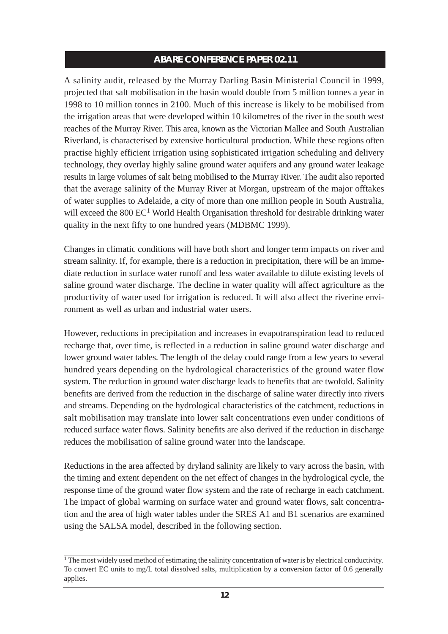A salinity audit, released by the Murray Darling Basin Ministerial Council in 1999, projected that salt mobilisation in the basin would double from 5 million tonnes a year in 1998 to 10 million tonnes in 2100. Much of this increase is likely to be mobilised from the irrigation areas that were developed within 10 kilometres of the river in the south west reaches of the Murray River. This area, known as the Victorian Mallee and South Australian Riverland, is characterised by extensive horticultural production. While these regions often practise highly efficient irrigation using sophisticated irrigation scheduling and delivery technology, they overlay highly saline ground water aquifers and any ground water leakage results in large volumes of salt being mobilised to the Murray River. The audit also reported that the average salinity of the Murray River at Morgan, upstream of the major offtakes of water supplies to Adelaide, a city of more than one million people in South Australia, will exceed the  $800 \text{ EC}^1$  World Health Organisation threshold for desirable drinking water quality in the next fifty to one hundred years (MDBMC 1999).

Changes in climatic conditions will have both short and longer term impacts on river and stream salinity. If, for example, there is a reduction in precipitation, there will be an immediate reduction in surface water runoff and less water available to dilute existing levels of saline ground water discharge. The decline in water quality will affect agriculture as the productivity of water used for irrigation is reduced. It will also affect the riverine environment as well as urban and industrial water users.

However, reductions in precipitation and increases in evapotranspiration lead to reduced recharge that, over time, is reflected in a reduction in saline ground water discharge and lower ground water tables. The length of the delay could range from a few years to several hundred years depending on the hydrological characteristics of the ground water flow system. The reduction in ground water discharge leads to benefits that are twofold. Salinity benefits are derived from the reduction in the discharge of saline water directly into rivers and streams. Depending on the hydrological characteristics of the catchment, reductions in salt mobilisation may translate into lower salt concentrations even under conditions of reduced surface water flows. Salinity benefits are also derived if the reduction in discharge reduces the mobilisation of saline ground water into the landscape.

Reductions in the area affected by dryland salinity are likely to vary across the basin, with the timing and extent dependent on the net effect of changes in the hydrological cycle, the response time of the ground water flow system and the rate of recharge in each catchment. The impact of global warming on surface water and ground water flows, salt concentration and the area of high water tables under the SRES A1 and B1 scenarios are examined using the SALSA model, described in the following section.

<sup>&</sup>lt;sup>1</sup> The most widely used method of estimating the salinity concentration of water is by electrical conductivity. To convert EC units to mg/L total dissolved salts, multiplication by a conversion factor of 0.6 generally applies.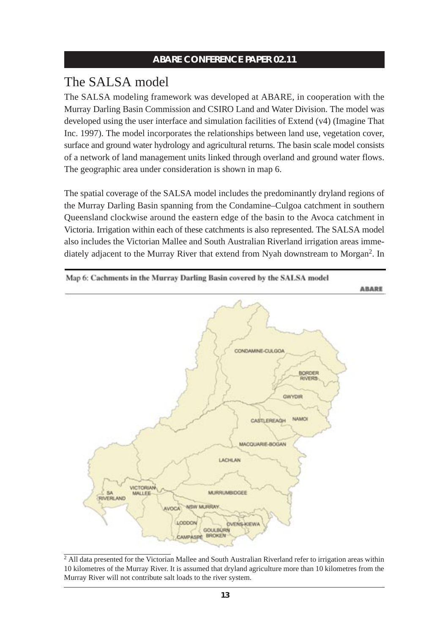## The SALSA model

The SALSA modeling framework was developed at ABARE, in cooperation with the Murray Darling Basin Commission and CSIRO Land and Water Division. The model was developed using the user interface and simulation facilities of Extend (v4) (Imagine That Inc. 1997). The model incorporates the relationships between land use, vegetation cover, surface and ground water hydrology and agricultural returns. The basin scale model consists of a network of land management units linked through overland and ground water flows. The geographic area under consideration is shown in map 6.

The spatial coverage of the SALSA model includes the predominantly dryland regions of the Murray Darling Basin spanning from the Condamine–Culgoa catchment in southern Queensland clockwise around the eastern edge of the basin to the Avoca catchment in Victoria. Irrigation within each of these catchments is also represented. The SALSA model also includes the Victorian Mallee and South Australian Riverland irrigation areas immediately adjacent to the Murray River that extend from Nyah downstream to Morgan2. In



<sup>&</sup>lt;sup>2</sup> All data presented for the Victorian Mallee and South Australian Riverland refer to irrigation areas within 10 kilometres of the Murray River. It is assumed that dryland agriculture more than 10 kilometres from the Murray River will not contribute salt loads to the river system.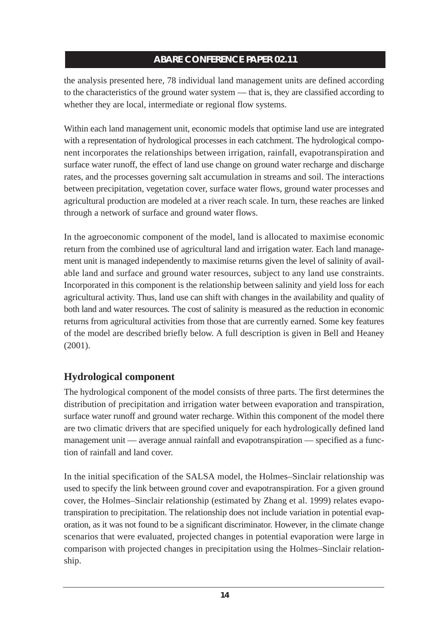the analysis presented here, 78 individual land management units are defined according to the characteristics of the ground water system — that is, they are classified according to whether they are local, intermediate or regional flow systems.

Within each land management unit, economic models that optimise land use are integrated with a representation of hydrological processes in each catchment. The hydrological component incorporates the relationships between irrigation, rainfall, evapotranspiration and surface water runoff, the effect of land use change on ground water recharge and discharge rates, and the processes governing salt accumulation in streams and soil. The interactions between precipitation, vegetation cover, surface water flows, ground water processes and agricultural production are modeled at a river reach scale. In turn, these reaches are linked through a network of surface and ground water flows.

In the agroeconomic component of the model, land is allocated to maximise economic return from the combined use of agricultural land and irrigation water. Each land management unit is managed independently to maximise returns given the level of salinity of available land and surface and ground water resources, subject to any land use constraints. Incorporated in this component is the relationship between salinity and yield loss for each agricultural activity. Thus, land use can shift with changes in the availability and quality of both land and water resources. The cost of salinity is measured as the reduction in economic returns from agricultural activities from those that are currently earned. Some key features of the model are described briefly below. A full description is given in Bell and Heaney (2001).

## **Hydrological component**

The hydrological component of the model consists of three parts. The first determines the distribution of precipitation and irrigation water between evaporation and transpiration, surface water runoff and ground water recharge. Within this component of the model there are two climatic drivers that are specified uniquely for each hydrologically defined land management unit — average annual rainfall and evapotranspiration — specified as a function of rainfall and land cover.

In the initial specification of the SALSA model, the Holmes–Sinclair relationship was used to specify the link between ground cover and evapotranspiration. For a given ground cover, the Holmes–Sinclair relationship (estimated by Zhang et al. 1999) relates evapotranspiration to precipitation. The relationship does not include variation in potential evaporation, as it was not found to be a significant discriminator. However, in the climate change scenarios that were evaluated, projected changes in potential evaporation were large in comparison with projected changes in precipitation using the Holmes–Sinclair relationship.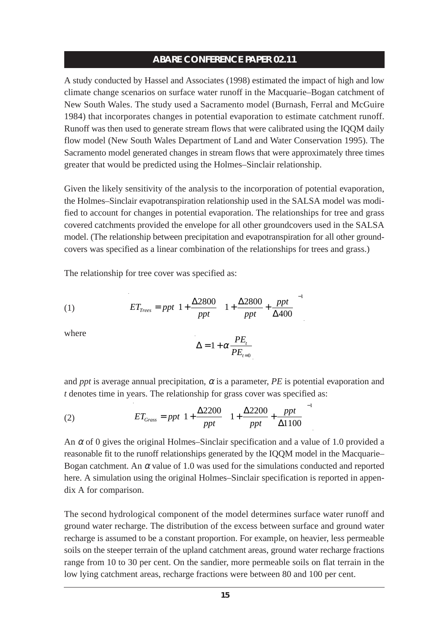A study conducted by Hassel and Associates (1998) estimated the impact of high and low climate change scenarios on surface water runoff in the Macquarie–Bogan catchment of New South Wales. The study used a Sacramento model (Burnash, Ferral and McGuire 1984) that incorporates changes in potential evaporation to estimate catchment runoff. Runoff was then used to generate stream flows that were calibrated using the IQQM daily flow model (New South Wales Department of Land and Water Conservation 1995). The Sacramento model generated changes in stream flows that were approximately three times greater that would be predicted using the Holmes–Sinclair relationship.

Given the likely sensitivity of the analysis to the incorporation of potential evaporation, the Holmes–Sinclair evapotranspiration relationship used in the SALSA model was modified to account for changes in potential evaporation. The relationships for tree and grass covered catchments provided the envelope for all other groundcovers used in the SALSA model. (The relationship between precipitation and evapotranspiration for all other groundcovers was specified as a linear combination of the relationships for trees and grass.)

The relationship for tree cover was specified as:

(1) 
$$
ET_{Trees} = ppt \left(1 + \frac{\Delta 2800}{ppt}\right) \left(1 + \frac{\Delta 2800}{ppt} + \frac{ppt}{\Delta 400}\right)^{-1}
$$

where

$$
\Delta = 1 + \alpha \frac{PE_{t}}{PE_{t=0}}
$$

and *ppt* is average annual precipitation,  $\alpha$  is a parameter, PE is potential evaporation and *t* denotes time in years. The relationship for grass cover was specified as:

(2) 
$$
ET_{Grass} = ppt \left(1 + \frac{\Delta 2200}{ppt}\right)\left(1 + \frac{\Delta 2200}{ppt} + \frac{ppt}{\Delta 1100}\right)^{-1}
$$

An  $\alpha$  of 0 gives the original Holmes–Sinclair specification and a value of 1.0 provided a reasonable fit to the runoff relationships generated by the IQQM model in the Macquarie– Bogan catchment. An  $\alpha$  value of 1.0 was used for the simulations conducted and reported here. A simulation using the original Holmes–Sinclair specification is reported in appendix A for comparison.

The second hydrological component of the model determines surface water runoff and ground water recharge. The distribution of the excess between surface and ground water recharge is assumed to be a constant proportion. For example, on heavier, less permeable soils on the steeper terrain of the upland catchment areas, ground water recharge fractions range from 10 to 30 per cent. On the sandier, more permeable soils on flat terrain in the low lying catchment areas, recharge fractions were between 80 and 100 per cent.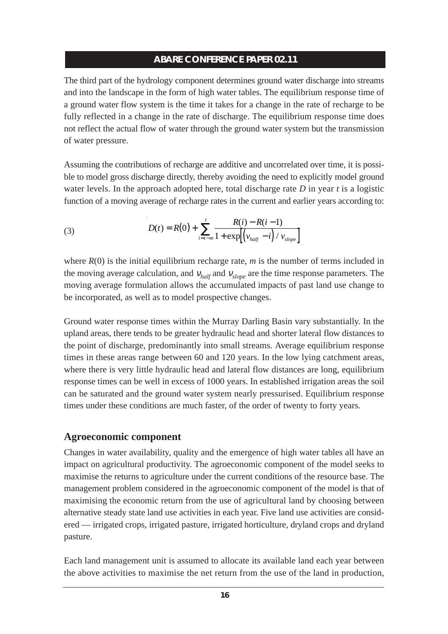The third part of the hydrology component determines ground water discharge into streams and into the landscape in the form of high water tables. The equilibrium response time of a ground water flow system is the time it takes for a change in the rate of recharge to be fully reflected in a change in the rate of discharge. The equilibrium response time does not reflect the actual flow of water through the ground water system but the transmission of water pressure.

Assuming the contributions of recharge are additive and uncorrelated over time, it is possible to model gross discharge directly, thereby avoiding the need to explicitly model ground water levels. In the approach adopted here, total discharge rate *D* in year *t* is a logistic function of a moving average of recharge rates in the current and earlier years according to:

(3) 
$$
D(t) = R(0) + \sum_{i=t-m}^{t} \frac{R(i) - R(i-1)}{1 + \exp[(v_{half} - i) / v_{slope}]}.
$$

where  $R(0)$  is the initial equilibrium recharge rate,  $m$  is the number of terms included in the moving average calculation, and <sup>ν</sup>*half* and <sup>ν</sup>*slope* are the time response parameters. The moving average formulation allows the accumulated impacts of past land use change to be incorporated, as well as to model prospective changes.

Ground water response times within the Murray Darling Basin vary substantially. In the upland areas, there tends to be greater hydraulic head and shorter lateral flow distances to the point of discharge, predominantly into small streams. Average equilibrium response times in these areas range between 60 and 120 years. In the low lying catchment areas, where there is very little hydraulic head and lateral flow distances are long, equilibrium response times can be well in excess of 1000 years. In established irrigation areas the soil can be saturated and the ground water system nearly pressurised. Equilibrium response times under these conditions are much faster, of the order of twenty to forty years.

## **Agroeconomic component**

Changes in water availability, quality and the emergence of high water tables all have an impact on agricultural productivity. The agroeconomic component of the model seeks to maximise the returns to agriculture under the current conditions of the resource base. The management problem considered in the agroeconomic component of the model is that of maximising the economic return from the use of agricultural land by choosing between alternative steady state land use activities in each year. Five land use activities are considered — irrigated crops, irrigated pasture, irrigated horticulture, dryland crops and dryland pasture.

Each land management unit is assumed to allocate its available land each year between the above activities to maximise the net return from the use of the land in production,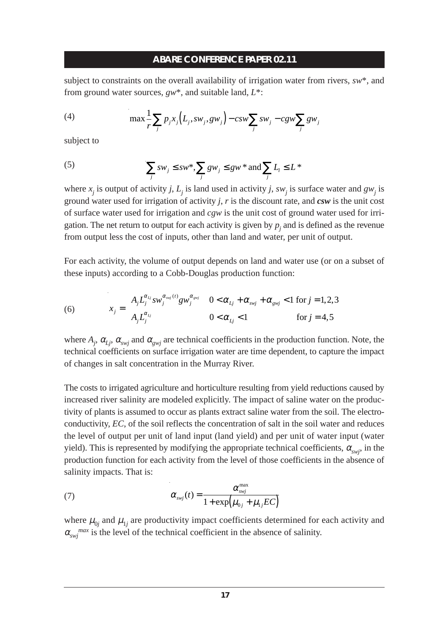subject to constraints on the overall availability of irrigation water from rivers, *sw*\*, and from ground water sources, *gw*\*, and suitable land, *L*\*:

(4) 
$$
\max \frac{1}{r} \sum_j p_j x_j (L_j, s w_j, g w_j) - c s w \sum_j s w_j - c g w \sum_j g w_j
$$

subject to

(5) 
$$
\sum_{j} sw_j \le sw^*, \sum_{j} gw_j \le gw * \text{ and } \sum_{j} L_i \le L^*
$$

where  $x_i$  is output of activity *j*,  $L_i$  is land used in activity *j*, *sw<sub>i</sub>* is surface water and  $gw_i$  is ground water used for irrigation of activity *j*, *r* is the discount rate, and *csw* is the unit cost of surface water used for irrigation and *cgw* is the unit cost of ground water used for irrigation. The net return to output for each activity is given by  $p_i$  and is defined as the revenue from output less the cost of inputs, other than land and water, per unit of output.

For each activity, the volume of output depends on land and water use (or on a subset of these inputs) according to a Cobb-Douglas production function:

(6) 
$$
x_j = \begin{cases} A_j L_j^{\alpha_{L_j}} s w_j^{\alpha_{svj}(t)} g w_j^{\alpha_{svj}} & 0 < \alpha_{L_j} + \alpha_{svj} + \alpha_{svj} < 1 \text{ for } j = 1, 2, 3 \\ A_j L_j^{\alpha_{L_j}} & 0 < \alpha_{L_j} < 1 \end{cases}
$$
 for  $j = 4, 5$ 

where  $A_j$ ,  $\alpha_{Lj}$ ,  $\alpha_{swj}$  and  $\alpha_{gwj}$  are technical coefficients in the production function. Note, the technical coefficients on surface irrigation water are time dependent, to capture the impact of changes in salt concentration in the Murray River.

The costs to irrigated agriculture and horticulture resulting from yield reductions caused by increased river salinity are modeled explicitly. The impact of saline water on the productivity of plants is assumed to occur as plants extract saline water from the soil. The electroconductivity, *EC*, of the soil reflects the concentration of salt in the soil water and reduces the level of output per unit of land input (land yield) and per unit of water input (water yield). This is represented by modifying the appropriate technical coefficients,  $\alpha_{\rm subi}$ , in the production function for each activity from the level of those coefficients in the absence of salinity impacts. That is:

(7) 
$$
\alpha_{\text{swj}}(t) = \frac{\alpha_{\text{swj}}^{\text{max}}}{1 + \exp(\mu_{0j} + \mu_{1j}EC)}
$$

where  $\mu_{0j}$  and  $\mu_{1j}$  are productivity impact coefficients determined for each activity and  $\alpha_{\text{swi}}^{max}$  is the level of the technical coefficient in the absence of salinity.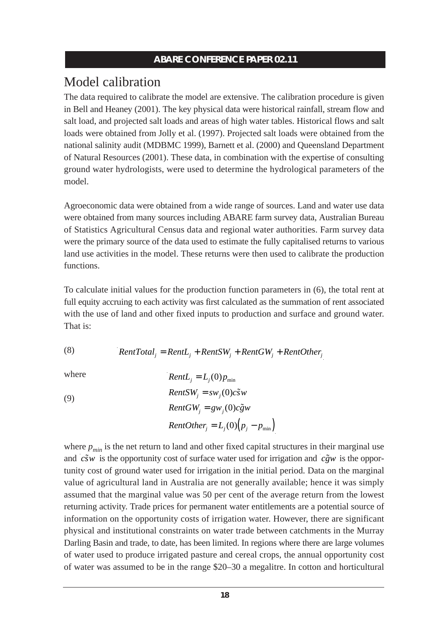## Model calibration

The data required to calibrate the model are extensive. The calibration procedure is given in Bell and Heaney (2001). The key physical data were historical rainfall, stream flow and salt load, and projected salt loads and areas of high water tables. Historical flows and salt loads were obtained from Jolly et al. (1997). Projected salt loads were obtained from the national salinity audit (MDBMC 1999), Barnett et al. (2000) and Queensland Department of Natural Resources (2001). These data, in combination with the expertise of consulting ground water hydrologists, were used to determine the hydrological parameters of the model.

Agroeconomic data were obtained from a wide range of sources. Land and water use data were obtained from many sources including ABARE farm survey data, Australian Bureau of Statistics Agricultural Census data and regional water authorities. Farm survey data were the primary source of the data used to estimate the fully capitalised returns to various land use activities in the model. These returns were then used to calibrate the production functions.

To calculate initial values for the production function parameters in (6), the total rent at full equity accruing to each activity was first calculated as the summation of rent associated with the use of land and other fixed inputs to production and surface and ground water. That is:

(8) 
$$
RentTotal_j = RentL_j + RentSW_j + RentGW_j + RentOther_j
$$

where

where  
\n
$$
RentL_{j} = L_{j}(0) p_{min}
$$
\n
$$
RentSW_{j} = sw_{j}(0) c\tilde{s}w
$$
\n
$$
RentGW_{j} = gw_{j}(0) c\tilde{g}w
$$
\n
$$
RentOther_{j} = L_{j}(0) (p_{j} - p_{min})
$$

where  $p_{min}$  is the net return to land and other fixed capital structures in their marginal use and  $c\tilde{s}w$  is the opportunity cost of surface water used for irrigation and  $c\tilde{g}w$  is the opportunity cost of ground water used for irrigation in the initial period. Data on the marginal value of agricultural land in Australia are not generally available; hence it was simply assumed that the marginal value was 50 per cent of the average return from the lowest returning activity. Trade prices for permanent water entitlements are a potential source of information on the opportunity costs of irrigation water. However, there are significant physical and institutional constraints on water trade between catchments in the Murray Darling Basin and trade, to date, has been limited. In regions where there are large volumes of water used to produce irrigated pasture and cereal crops, the annual opportunity cost of water was assumed to be in the range \$20–30 a megalitre. In cotton and horticultural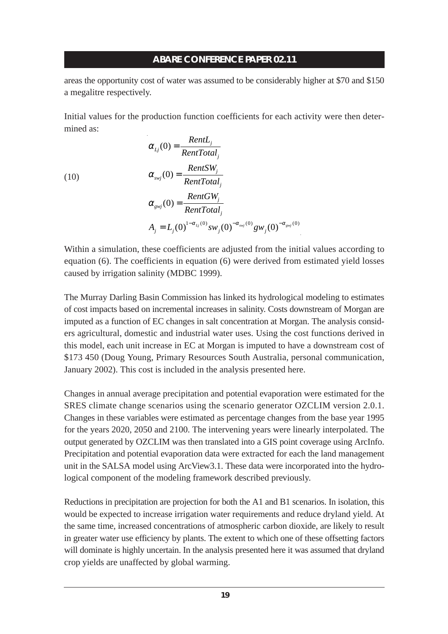areas the opportunity cost of water was assumed to be considerably higher at \$70 and \$150 a megalitre respectively.

Initial values for the production function coefficients for each activity were then determined as:

(10)  
\n
$$
\alpha_{Lj}(0) = \frac{RentL_j}{RentTotal_j}
$$
\n
$$
\alpha_{swj}(0) = \frac{RentSW_j}{RentTotal_j}
$$
\n
$$
\alpha_{swj}(0) = \frac{RentGW_j}{RentTotal_j}
$$
\n
$$
A_j = L_j(0)^{1-\alpha_{Lj}(0)} sw_j(0)^{-\alpha_{svj}(0)} gw_j(0)^{-\alpha_{svj}(0)}
$$

Within a simulation, these coefficients are adjusted from the initial values according to equation (6). The coefficients in equation (6) were derived from estimated yield losses caused by irrigation salinity (MDBC 1999).

The Murray Darling Basin Commission has linked its hydrological modeling to estimates of cost impacts based on incremental increases in salinity. Costs downstream of Morgan are imputed as a function of EC changes in salt concentration at Morgan. The analysis considers agricultural, domestic and industrial water uses. Using the cost functions derived in this model, each unit increase in EC at Morgan is imputed to have a downstream cost of \$173 450 (Doug Young, Primary Resources South Australia, personal communication, January 2002). This cost is included in the analysis presented here.

Changes in annual average precipitation and potential evaporation were estimated for the SRES climate change scenarios using the scenario generator OZCLIM version 2.0.1. Changes in these variables were estimated as percentage changes from the base year 1995 for the years 2020, 2050 and 2100. The intervening years were linearly interpolated. The output generated by OZCLIM was then translated into a GIS point coverage using ArcInfo. Precipitation and potential evaporation data were extracted for each the land management unit in the SALSA model using ArcView3.1. These data were incorporated into the hydrological component of the modeling framework described previously.

Reductions in precipitation are projection for both the A1 and B1 scenarios. In isolation, this would be expected to increase irrigation water requirements and reduce dryland yield. At the same time, increased concentrations of atmospheric carbon dioxide, are likely to result in greater water use efficiency by plants. The extent to which one of these offsetting factors will dominate is highly uncertain. In the analysis presented here it was assumed that dryland crop yields are unaffected by global warming.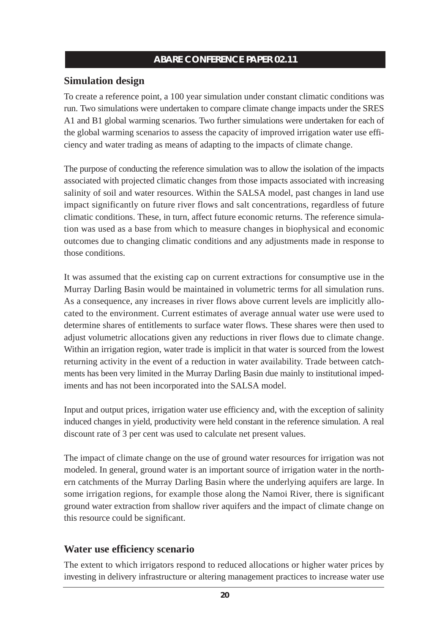## **Simulation design**

To create a reference point, a 100 year simulation under constant climatic conditions was run. Two simulations were undertaken to compare climate change impacts under the SRES A1 and B1 global warming scenarios. Two further simulations were undertaken for each of the global warming scenarios to assess the capacity of improved irrigation water use efficiency and water trading as means of adapting to the impacts of climate change.

The purpose of conducting the reference simulation was to allow the isolation of the impacts associated with projected climatic changes from those impacts associated with increasing salinity of soil and water resources. Within the SALSA model, past changes in land use impact significantly on future river flows and salt concentrations, regardless of future climatic conditions. These, in turn, affect future economic returns. The reference simulation was used as a base from which to measure changes in biophysical and economic outcomes due to changing climatic conditions and any adjustments made in response to those conditions.

It was assumed that the existing cap on current extractions for consumptive use in the Murray Darling Basin would be maintained in volumetric terms for all simulation runs. As a consequence, any increases in river flows above current levels are implicitly allocated to the environment. Current estimates of average annual water use were used to determine shares of entitlements to surface water flows. These shares were then used to adjust volumetric allocations given any reductions in river flows due to climate change. Within an irrigation region, water trade is implicit in that water is sourced from the lowest returning activity in the event of a reduction in water availability. Trade between catchments has been very limited in the Murray Darling Basin due mainly to institutional impediments and has not been incorporated into the SALSA model.

Input and output prices, irrigation water use efficiency and, with the exception of salinity induced changes in yield, productivity were held constant in the reference simulation. A real discount rate of 3 per cent was used to calculate net present values.

The impact of climate change on the use of ground water resources for irrigation was not modeled. In general, ground water is an important source of irrigation water in the northern catchments of the Murray Darling Basin where the underlying aquifers are large. In some irrigation regions, for example those along the Namoi River, there is significant ground water extraction from shallow river aquifers and the impact of climate change on this resource could be significant.

## **Water use efficiency scenario**

The extent to which irrigators respond to reduced allocations or higher water prices by investing in delivery infrastructure or altering management practices to increase water use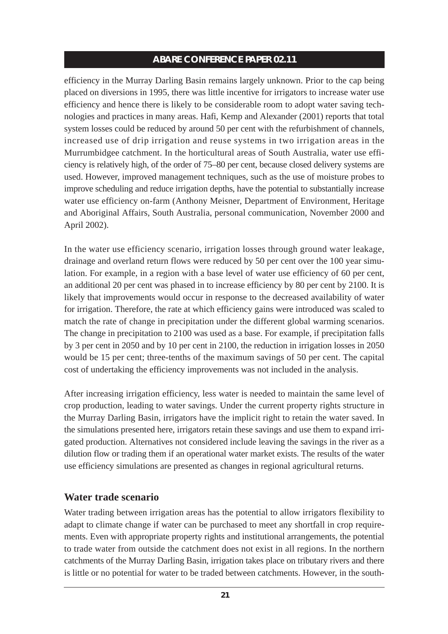efficiency in the Murray Darling Basin remains largely unknown. Prior to the cap being placed on diversions in 1995, there was little incentive for irrigators to increase water use efficiency and hence there is likely to be considerable room to adopt water saving technologies and practices in many areas. Hafi, Kemp and Alexander (2001) reports that total system losses could be reduced by around 50 per cent with the refurbishment of channels, increased use of drip irrigation and reuse systems in two irrigation areas in the Murrumbidgee catchment. In the horticultural areas of South Australia, water use efficiency is relatively high, of the order of 75–80 per cent, because closed delivery systems are used. However, improved management techniques, such as the use of moisture probes to improve scheduling and reduce irrigation depths, have the potential to substantially increase water use efficiency on-farm (Anthony Meisner, Department of Environment, Heritage and Aboriginal Affairs, South Australia, personal communication, November 2000 and April 2002).

In the water use efficiency scenario, irrigation losses through ground water leakage, drainage and overland return flows were reduced by 50 per cent over the 100 year simulation. For example, in a region with a base level of water use efficiency of 60 per cent, an additional 20 per cent was phased in to increase efficiency by 80 per cent by 2100. It is likely that improvements would occur in response to the decreased availability of water for irrigation. Therefore, the rate at which efficiency gains were introduced was scaled to match the rate of change in precipitation under the different global warming scenarios. The change in precipitation to 2100 was used as a base. For example, if precipitation falls by 3 per cent in 2050 and by 10 per cent in 2100, the reduction in irrigation losses in 2050 would be 15 per cent; three-tenths of the maximum savings of 50 per cent. The capital cost of undertaking the efficiency improvements was not included in the analysis.

After increasing irrigation efficiency, less water is needed to maintain the same level of crop production, leading to water savings. Under the current property rights structure in the Murray Darling Basin, irrigators have the implicit right to retain the water saved. In the simulations presented here, irrigators retain these savings and use them to expand irrigated production. Alternatives not considered include leaving the savings in the river as a dilution flow or trading them if an operational water market exists. The results of the water use efficiency simulations are presented as changes in regional agricultural returns.

## **Water trade scenario**

Water trading between irrigation areas has the potential to allow irrigators flexibility to adapt to climate change if water can be purchased to meet any shortfall in crop requirements. Even with appropriate property rights and institutional arrangements, the potential to trade water from outside the catchment does not exist in all regions. In the northern catchments of the Murray Darling Basin, irrigation takes place on tributary rivers and there is little or no potential for water to be traded between catchments. However, in the south-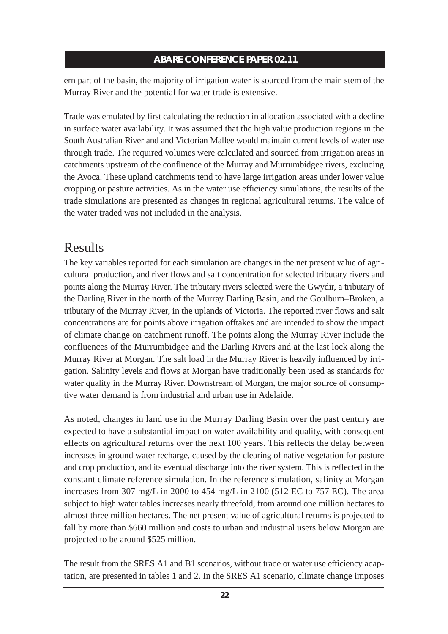ern part of the basin, the majority of irrigation water is sourced from the main stem of the Murray River and the potential for water trade is extensive.

Trade was emulated by first calculating the reduction in allocation associated with a decline in surface water availability. It was assumed that the high value production regions in the South Australian Riverland and Victorian Mallee would maintain current levels of water use through trade. The required volumes were calculated and sourced from irrigation areas in catchments upstream of the confluence of the Murray and Murrumbidgee rivers, excluding the Avoca. These upland catchments tend to have large irrigation areas under lower value cropping or pasture activities. As in the water use efficiency simulations, the results of the trade simulations are presented as changes in regional agricultural returns. The value of the water traded was not included in the analysis.

## Results

The key variables reported for each simulation are changes in the net present value of agricultural production, and river flows and salt concentration for selected tributary rivers and points along the Murray River. The tributary rivers selected were the Gwydir, a tributary of the Darling River in the north of the Murray Darling Basin, and the Goulburn–Broken, a tributary of the Murray River, in the uplands of Victoria. The reported river flows and salt concentrations are for points above irrigation offtakes and are intended to show the impact of climate change on catchment runoff. The points along the Murray River include the confluences of the Murrumbidgee and the Darling Rivers and at the last lock along the Murray River at Morgan. The salt load in the Murray River is heavily influenced by irrigation. Salinity levels and flows at Morgan have traditionally been used as standards for water quality in the Murray River. Downstream of Morgan, the major source of consumptive water demand is from industrial and urban use in Adelaide.

As noted, changes in land use in the Murray Darling Basin over the past century are expected to have a substantial impact on water availability and quality, with consequent effects on agricultural returns over the next 100 years. This reflects the delay between increases in ground water recharge, caused by the clearing of native vegetation for pasture and crop production, and its eventual discharge into the river system. This is reflected in the constant climate reference simulation. In the reference simulation, salinity at Morgan increases from 307 mg/L in 2000 to 454 mg/L in 2100 (512 EC to 757 EC). The area subject to high water tables increases nearly threefold, from around one million hectares to almost three million hectares. The net present value of agricultural returns is projected to fall by more than \$660 million and costs to urban and industrial users below Morgan are projected to be around \$525 million.

The result from the SRES A1 and B1 scenarios, without trade or water use efficiency adaptation, are presented in tables 1 and 2. In the SRES A1 scenario, climate change imposes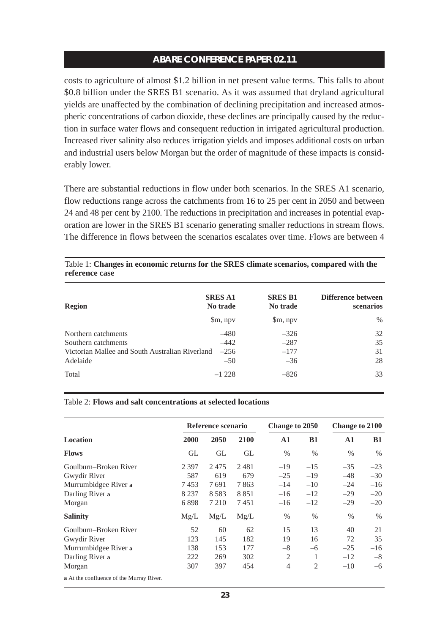costs to agriculture of almost \$1.2 billion in net present value terms. This falls to about \$0.8 billion under the SRES B1 scenario. As it was assumed that dryland agricultural yields are unaffected by the combination of declining precipitation and increased atmospheric concentrations of carbon dioxide, these declines are principally caused by the reduction in surface water flows and consequent reduction in irrigated agricultural production. Increased river salinity also reduces irrigation yields and imposes additional costs on urban and industrial users below Morgan but the order of magnitude of these impacts is considerably lower.

There are substantial reductions in flow under both scenarios. In the SRES A1 scenario, flow reductions range across the catchments from 16 to 25 per cent in 2050 and between 24 and 48 per cent by 2100. The reductions in precipitation and increases in potential evaporation are lower in the SRES B1 scenario generating smaller reductions in stream flows. The difference in flows between the scenarios escalates over time. Flows are between 4

| <b>Region</b>                                   | <b>SRES A1</b><br>No trade | <b>SRES B1</b><br>No trade | Difference between<br><b>scenarios</b> |  |
|-------------------------------------------------|----------------------------|----------------------------|----------------------------------------|--|
|                                                 | \$m, npv                   | \$m, npv                   | $\%$                                   |  |
| Northern catchments                             | $-480$                     | $-326$                     | 32                                     |  |
| Southern catchments                             | $-442$                     | $-287$                     | 35                                     |  |
| Victorian Mallee and South Australian Riverland | $-256$                     | $-177$                     | 31                                     |  |
| Adelaide                                        | $-50$                      | $-36$                      | 28                                     |  |
| Total                                           | $-1228$                    | $-826$                     | 33                                     |  |

Table 1: **Changes in economic returns for the SRES climate scenarios, compared with the reference case**

#### Table 2: **Flows and salt concentrations at selected locations**

|                       | Reference scenario |         |      | <b>Change to 2050</b> |               | <b>Change to 2100</b> |           |
|-----------------------|--------------------|---------|------|-----------------------|---------------|-----------------------|-----------|
| <b>Location</b>       | 2000               | 2050    | 2100 | $\mathbf{A1}$         | <b>B1</b>     | $\mathbf{A1}$         | <b>B1</b> |
| <b>Flows</b>          | GL                 | GL      | GL   | $\%$                  | $\frac{0}{0}$ | $\%$                  | $\%$      |
| Goulburn–Broken River | 2 3 9 7            | 2475    | 2481 | $-19$                 | $-15$         | $-35$                 | $-23$     |
| Gwydir River          | 587                | 619     | 679  | $-25$                 | $-19$         | $-48$                 | $-30$     |
| Murrumbidgee River a  | 7453               | 7691    | 7863 | $-14$                 | $-10$         | $-24$                 | $-16$     |
| Darling River a       | 8 2 3 7            | 8583    | 8851 | $-16$                 | $-12$         | $-29$                 | $-20$     |
| Morgan                | 6898               | 7 2 1 0 | 7451 | $-16$                 | $-12$         | $-29$                 | $-20$     |
| <b>Salinity</b>       | Mg/L               | Mg/L    | Mg/L | $\%$                  | $\frac{0}{0}$ | $\%$                  | $\%$      |
| Goulburn-Broken River | 52                 | 60      | 62   | 15                    | 13            | 40                    | 21        |
| Gwydir River          | 123                | 145     | 182  | 19                    | 16            | 72                    | 35        |
| Murrumbidgee River a  | 138                | 153     | 177  | $-8$                  | $-6$          | $-25$                 | $-16$     |
| Darling River a       | 222                | 269     | 302  | $\overline{2}$        | 1             | $-12$                 | $-8$      |
| Morgan                | 307                | 397     | 454  | 4                     | 2             | $-10$                 | $-6$      |

**a** At the confluence of the Murray River.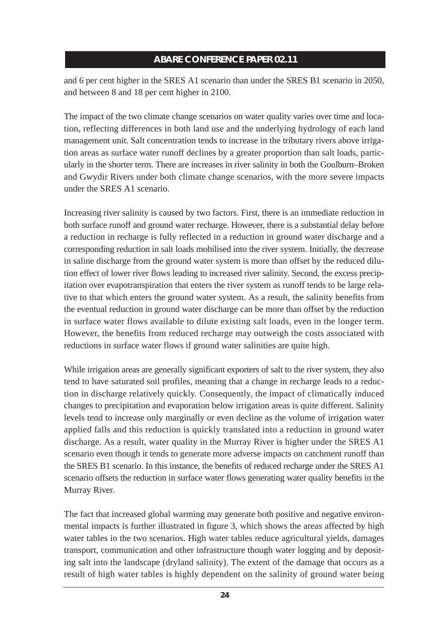and 6 per cent higher in the SRES A1 scenario than under the SRES B1 scenario in 2050, and between 8 and 18 per cent higher in 2100.

The impact of the two climate change scenarios on water quality varies over time and location, reflecting differences in both land use and the underlying hydrology of each land management unit. Salt concentration tends to increase in the tributary rivers above irrigation areas as surface water runoff declines by a greater proportion than salt loads, particularly in the shorter term. There are increases in river salinity in both the Goulburn–Broken and Gwydir Rivers under both climate change scenarios, with the more severe impacts under the SRES A1 scenario.

Increasing river salinity is caused by two factors. First, there is an immediate reduction in both surface runoff and ground water recharge. However, there is a substantial delay before a reduction in recharge is fully reflected in a reduction in ground water discharge and a corresponding reduction in salt loads mobilised into the river system. Initially, the decrease in saline discharge from the ground water system is more than offset by the reduced dilution effect of lower river flows leading to increased river salinity. Second, the excess precipitation over evapotranspiration that enters the river system as runoff tends to be large relative to that which enters the ground water system. As a result, the salinity benefits from the eventual reduction in ground water discharge can be more than offset by the reduction in surface water flows available to dilute existing salt loads, even in the longer term. However, the benefits from reduced recharge may outweigh the costs associated with reductions in surface water flows if ground water salinities are quite high.

While irrigation areas are generally significant exporters of salt to the river system, they also tend to have saturated soil profiles, meaning that a change in recharge leads to a reduction in discharge relatively quickly. Consequently, the impact of climatically induced changes to precipitation and evaporation below irrigation areas is quite different. Salinity levels tend to increase only marginally or even decline as the volume of irrigation water applied falls and this reduction is quickly translated into a reduction in ground water discharge. As a result, water quality in the Murray River is higher under the SRES A1 scenario even though it tends to generate more adverse impacts on catchment runoff than the SRES B1 scenario. In this instance, the benefits of reduced recharge under the SRES A1 scenario offsets the reduction in surface water flows generating water quality benefits in the Murray River.

The fact that increased global warming may generate both positive and negative environmental impacts is further illustrated in figure 3, which shows the areas affected by high water tables in the two scenarios. High water tables reduce agricultural yields, damages transport, communication and other infrastructure though water logging and by depositing salt into the landscape (dryland salinity). The extent of the damage that occurs as a result of high water tables is highly dependent on the salinity of ground water being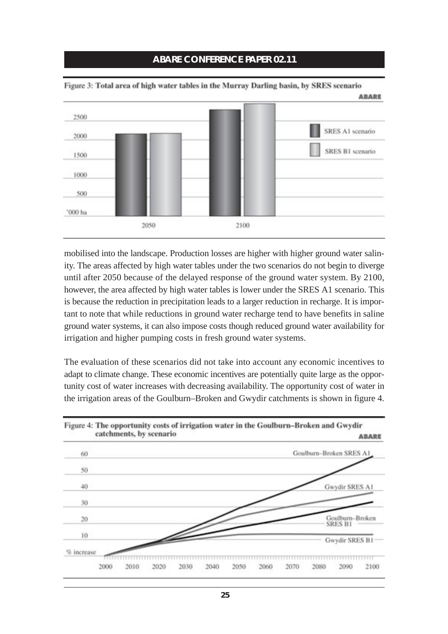

Figure 3: Total area of high water tables in the Murray Darling basin, by SRES scenario

mobilised into the landscape. Production losses are higher with higher ground water salinity. The areas affected by high water tables under the two scenarios do not begin to diverge until after 2050 because of the delayed response of the ground water system. By 2100, however, the area affected by high water tables is lower under the SRES A1 scenario. This is because the reduction in precipitation leads to a larger reduction in recharge. It is important to note that while reductions in ground water recharge tend to have benefits in saline ground water systems, it can also impose costs though reduced ground water availability for irrigation and higher pumping costs in fresh ground water systems.

The evaluation of these scenarios did not take into account any economic incentives to adapt to climate change. These economic incentives are potentially quite large as the opportunity cost of water increases with decreasing availability. The opportunity cost of water in the irrigation areas of the Goulburn–Broken and Gwydir catchments is shown in figure 4.

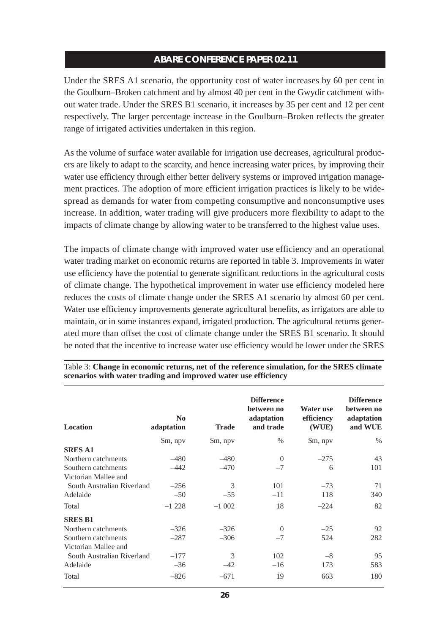Under the SRES A1 scenario, the opportunity cost of water increases by 60 per cent in the Goulburn–Broken catchment and by almost 40 per cent in the Gwydir catchment without water trade. Under the SRES B1 scenario, it increases by 35 per cent and 12 per cent respectively. The larger percentage increase in the Goulburn–Broken reflects the greater range of irrigated activities undertaken in this region.

As the volume of surface water available for irrigation use decreases, agricultural producers are likely to adapt to the scarcity, and hence increasing water prices, by improving their water use efficiency through either better delivery systems or improved irrigation management practices. The adoption of more efficient irrigation practices is likely to be widespread as demands for water from competing consumptive and nonconsumptive uses increase. In addition, water trading will give producers more flexibility to adapt to the impacts of climate change by allowing water to be transferred to the highest value uses.

The impacts of climate change with improved water use efficiency and an operational water trading market on economic returns are reported in table 3. Improvements in water use efficiency have the potential to generate significant reductions in the agricultural costs of climate change. The hypothetical improvement in water use efficiency modeled here reduces the costs of climate change under the SRES A1 scenario by almost 60 per cent. Water use efficiency improvements generate agricultural benefits, as irrigators are able to maintain, or in some instances expand, irrigated production. The agricultural returns generated more than offset the cost of climate change under the SRES B1 scenario. It should be noted that the incentive to increase water use efficiency would be lower under the SRES

| <b>Location</b>            | N <sub>0</sub><br>adaptation | <b>Trade</b> | <b>Difference</b><br>between no<br>adaptation<br>and trade | Water use<br>efficiency<br>(WUE) | <b>Difference</b><br>between no<br>adaptation<br>and WUE |
|----------------------------|------------------------------|--------------|------------------------------------------------------------|----------------------------------|----------------------------------------------------------|
|                            | \$m, npv                     | \$m, npv     | $\%$                                                       | \$m, npv                         | $\%$                                                     |
| <b>SRES A1</b>             |                              |              |                                                            |                                  |                                                          |
| Northern catchments        | $-480$                       | $-480$       | $\Omega$                                                   | $-275$                           | 43                                                       |
| Southern catchments        | $-442$                       | $-470$       | $-7$                                                       | 6                                | 101                                                      |
| Victorian Mallee and       |                              |              |                                                            |                                  |                                                          |
| South Australian Riverland | $-256$                       | 3            | 101                                                        | $-73$                            | 71                                                       |
| Adelaide                   | $-50$                        | $-55$        | $-11$                                                      | 118                              | 340                                                      |
| Total                      | $-1228$                      | $-1002$      | 18                                                         | $-224$                           | 82                                                       |
| <b>SRES B1</b>             |                              |              |                                                            |                                  |                                                          |
| Northern catchments        | $-326$                       | $-326$       | $\Omega$                                                   | $-25$                            | 92                                                       |
| Southern catchments        | $-287$                       | $-306$       | $-7$                                                       | 524                              | 282                                                      |
| Victorian Mallee and       |                              |              |                                                            |                                  |                                                          |
| South Australian Riverland | $-177$                       | 3            | 102                                                        | $-8$                             | 95                                                       |
| Adelaide                   | $-36$                        | $-42$        | $-16$                                                      | 173                              | 583                                                      |
| Total                      | $-826$                       | $-671$       | 19                                                         | 663                              | 180                                                      |

Table 3: **Change in economic returns, net of the reference simulation, for the SRES climate scenarios with water trading and improved water use efficiency**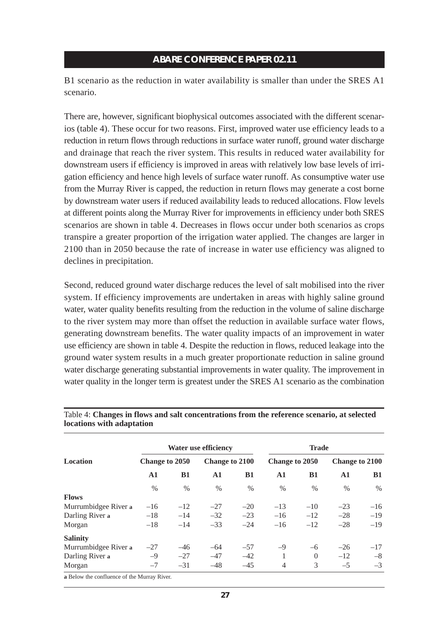B1 scenario as the reduction in water availability is smaller than under the SRES A1 scenario.

There are, however, significant biophysical outcomes associated with the different scenarios (table 4). These occur for two reasons. First, improved water use efficiency leads to a reduction in return flows through reductions in surface water runoff, ground water discharge and drainage that reach the river system. This results in reduced water availability for downstream users if efficiency is improved in areas with relatively low base levels of irrigation efficiency and hence high levels of surface water runoff. As consumptive water use from the Murray River is capped, the reduction in return flows may generate a cost borne by downstream water users if reduced availability leads to reduced allocations. Flow levels at different points along the Murray River for improvements in efficiency under both SRES scenarios are shown in table 4. Decreases in flows occur under both scenarios as crops transpire a greater proportion of the irrigation water applied. The changes are larger in 2100 than in 2050 because the rate of increase in water use efficiency was aligned to declines in precipitation.

Second, reduced ground water discharge reduces the level of salt mobilised into the river system. If efficiency improvements are undertaken in areas with highly saline ground water, water quality benefits resulting from the reduction in the volume of saline discharge to the river system may more than offset the reduction in available surface water flows, generating downstream benefits. The water quality impacts of an improvement in water use efficiency are shown in table 4. Despite the reduction in flows, reduced leakage into the ground water system results in a much greater proportionate reduction in saline ground water discharge generating substantial improvements in water quality. The improvement in water quality in the longer term is greatest under the SRES A1 scenario as the combination

| Location             | <b>Water use efficiency</b> |               |                |               | <b>Trade</b>   |          |                |           |
|----------------------|-----------------------------|---------------|----------------|---------------|----------------|----------|----------------|-----------|
|                      | Change to 2050              |               | Change to 2100 |               | Change to 2050 |          | Change to 2100 |           |
|                      | ${\bf A1}$                  | B1            | A1             | B1            | $\mathbf{A}$ 1 | B1       | $\mathbf{A1}$  | <b>B1</b> |
|                      | $\frac{0}{0}$               | $\frac{0}{0}$ | $\frac{0}{0}$  | $\frac{0}{0}$ | $\frac{0}{0}$  | $\%$     | $\%$           | $\%$      |
| <b>Flows</b>         |                             |               |                |               |                |          |                |           |
| Murrumbidgee River a | $-16$                       | $-12$         | $-27$          | $-20$         | $-13$          | $-10$    | $-23$          | $-16$     |
| Darling River a      | $-18$                       | $-14$         | $-32$          | $-23$         | $-16$          | $-12$    | $-28$          | $-19$     |
| Morgan               | $-18$                       | $-14$         | $-33$          | $-24$         | $-16$          | $-12$    | $-28$          | $-19$     |
| <b>Salinity</b>      |                             |               |                |               |                |          |                |           |
| Murrumbidgee River a | $-27$                       | $-46$         | $-64$          | $-57$         | $-9$           | $-6$     | $-26$          | $-17$     |
| Darling River a      | $-9$                        | $-27$         | $-47$          | $-42$         | 1              | $\Omega$ | $-12$          | $-8$      |
| Morgan               | $-7$                        | $-31$         | $-48$          | $-45$         | 4              | 3        | $-5$           | $-3$      |

#### Table 4: **Changes in flows and salt concentrations from the reference scenario, at selected locations with adaptation**

**a** Below the confluence of the Murray River.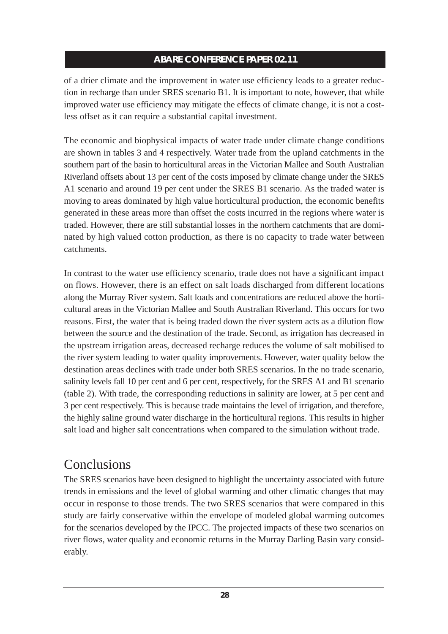of a drier climate and the improvement in water use efficiency leads to a greater reduction in recharge than under SRES scenario B1. It is important to note, however, that while improved water use efficiency may mitigate the effects of climate change, it is not a costless offset as it can require a substantial capital investment.

The economic and biophysical impacts of water trade under climate change conditions are shown in tables 3 and 4 respectively. Water trade from the upland catchments in the southern part of the basin to horticultural areas in the Victorian Mallee and South Australian Riverland offsets about 13 per cent of the costs imposed by climate change under the SRES A1 scenario and around 19 per cent under the SRES B1 scenario. As the traded water is moving to areas dominated by high value horticultural production, the economic benefits generated in these areas more than offset the costs incurred in the regions where water is traded. However, there are still substantial losses in the northern catchments that are dominated by high valued cotton production, as there is no capacity to trade water between catchments.

In contrast to the water use efficiency scenario, trade does not have a significant impact on flows. However, there is an effect on salt loads discharged from different locations along the Murray River system. Salt loads and concentrations are reduced above the horticultural areas in the Victorian Mallee and South Australian Riverland. This occurs for two reasons. First, the water that is being traded down the river system acts as a dilution flow between the source and the destination of the trade. Second, as irrigation has decreased in the upstream irrigation areas, decreased recharge reduces the volume of salt mobilised to the river system leading to water quality improvements. However, water quality below the destination areas declines with trade under both SRES scenarios. In the no trade scenario, salinity levels fall 10 per cent and 6 per cent, respectively, for the SRES A1 and B1 scenario (table 2). With trade, the corresponding reductions in salinity are lower, at 5 per cent and 3 per cent respectively. This is because trade maintains the level of irrigation, and therefore, the highly saline ground water discharge in the horticultural regions. This results in higher salt load and higher salt concentrations when compared to the simulation without trade.

## Conclusions

The SRES scenarios have been designed to highlight the uncertainty associated with future trends in emissions and the level of global warming and other climatic changes that may occur in response to those trends. The two SRES scenarios that were compared in this study are fairly conservative within the envelope of modeled global warming outcomes for the scenarios developed by the IPCC. The projected impacts of these two scenarios on river flows, water quality and economic returns in the Murray Darling Basin vary considerably.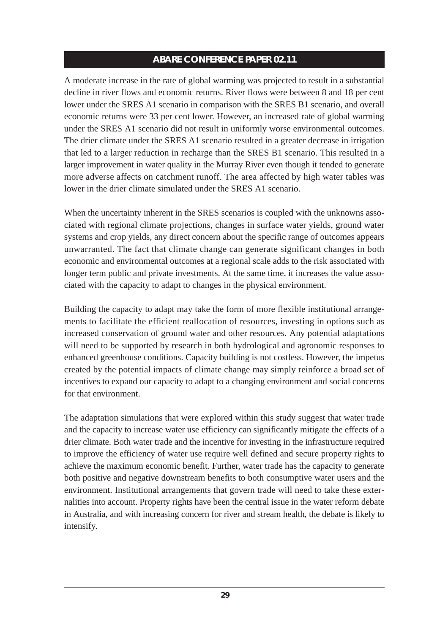A moderate increase in the rate of global warming was projected to result in a substantial decline in river flows and economic returns. River flows were between 8 and 18 per cent lower under the SRES A1 scenario in comparison with the SRES B1 scenario, and overall economic returns were 33 per cent lower. However, an increased rate of global warming under the SRES A1 scenario did not result in uniformly worse environmental outcomes. The drier climate under the SRES A1 scenario resulted in a greater decrease in irrigation that led to a larger reduction in recharge than the SRES B1 scenario. This resulted in a larger improvement in water quality in the Murray River even though it tended to generate more adverse affects on catchment runoff. The area affected by high water tables was lower in the drier climate simulated under the SRES A1 scenario.

When the uncertainty inherent in the SRES scenarios is coupled with the unknowns associated with regional climate projections, changes in surface water yields, ground water systems and crop yields, any direct concern about the specific range of outcomes appears unwarranted. The fact that climate change can generate significant changes in both economic and environmental outcomes at a regional scale adds to the risk associated with longer term public and private investments. At the same time, it increases the value associated with the capacity to adapt to changes in the physical environment.

Building the capacity to adapt may take the form of more flexible institutional arrangements to facilitate the efficient reallocation of resources, investing in options such as increased conservation of ground water and other resources. Any potential adaptations will need to be supported by research in both hydrological and agronomic responses to enhanced greenhouse conditions. Capacity building is not costless. However, the impetus created by the potential impacts of climate change may simply reinforce a broad set of incentives to expand our capacity to adapt to a changing environment and social concerns for that environment.

The adaptation simulations that were explored within this study suggest that water trade and the capacity to increase water use efficiency can significantly mitigate the effects of a drier climate. Both water trade and the incentive for investing in the infrastructure required to improve the efficiency of water use require well defined and secure property rights to achieve the maximum economic benefit. Further, water trade has the capacity to generate both positive and negative downstream benefits to both consumptive water users and the environment. Institutional arrangements that govern trade will need to take these externalities into account. Property rights have been the central issue in the water reform debate in Australia, and with increasing concern for river and stream health, the debate is likely to intensify.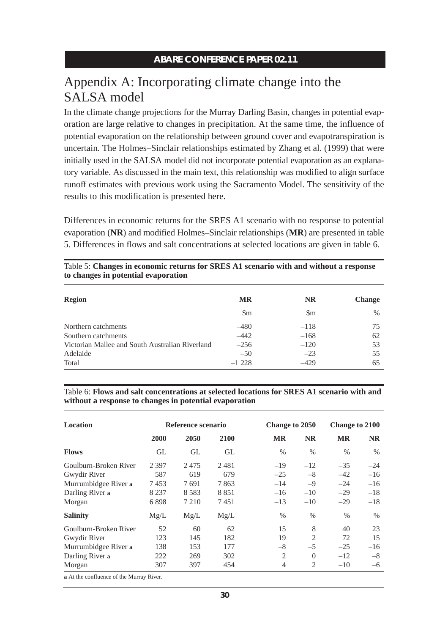## Appendix A: Incorporating climate change into the SALSA model

In the climate change projections for the Murray Darling Basin, changes in potential evaporation are large relative to changes in precipitation. At the same time, the influence of potential evaporation on the relationship between ground cover and evapotranspiration is uncertain. The Holmes–Sinclair relationships estimated by Zhang et al. (1999) that were initially used in the SALSA model did not incorporate potential evaporation as an explanatory variable. As discussed in the main text, this relationship was modified to align surface runoff estimates with previous work using the Sacramento Model. The sensitivity of the results to this modification is presented here.

Differences in economic returns for the SRES A1 scenario with no response to potential evaporation (**NR**) and modified Holmes–Sinclair relationships (**MR**) are presented in table 5. Differences in flows and salt concentrations at selected locations are given in table 6.

| <b>Region</b>                                   | <b>MR</b>              | <b>NR</b>              | <b>Change</b> |
|-------------------------------------------------|------------------------|------------------------|---------------|
|                                                 | $\mathop{\mathrm{Sm}}$ | $\mathop{\mathrm{Sm}}$ | $\%$          |
| Northern catchments                             | $-480$                 | $-118$                 | 75            |
| Southern catchments                             | $-442$                 | $-168$                 | 62            |
| Victorian Mallee and South Australian Riverland | $-256$                 | $-120$                 | 53            |
| Adelaide                                        | $-50$                  | $-23$                  | 55            |
| Total                                           | $-1228$                | $-429$                 | 65            |

Table 5: **Changes in economic returns for SRES A1 scenario with and without a response to changes in potential evaporation**

Table 6: **Flows and salt concentrations at selected locations for SRES A1 scenario with and without a response to changes in potential evaporation**

| <b>Location</b>                              | Reference scenario |         |         | Change to 2050 |                | Change to 2100 |           |
|----------------------------------------------|--------------------|---------|---------|----------------|----------------|----------------|-----------|
|                                              | 2000               | 2050    | 2100    | MR             | <b>NR</b>      | <b>MR</b>      | <b>NR</b> |
| <b>Flows</b>                                 | GL                 | GL      | GL      | $\%$           | $\frac{0}{0}$  | $\%$           | $\%$      |
| Goulburn-Broken River                        | 2 3 9 7            | 2475    | 2481    | $-19$          | $-12$          | $-35$          | $-24$     |
| Gwydir River                                 | 587                | 619     | 679     | $-25$          | $-8$           | $-42$          | $-16$     |
| Murrumbidgee River a                         | 7453               | 7691    | 7863    | $-14$          | $-9$           | $-24$          | $-16$     |
| Darling River a                              | 8 2 3 7            | 8 5 8 3 | 8 8 5 1 | $-16$          | $-10$          | $-29$          | $-18$     |
| Morgan                                       | 6898               | 7 2 1 0 | 7451    | $-13$          | $-10$          | $-29$          | $-18$     |
| <b>Salinity</b>                              | Mg/L               | Mg/L    | Mg/L    | $\frac{0}{0}$  | $\frac{0}{0}$  | $\%$           | $\%$      |
| Goulburn-Broken River                        | 52                 | 60      | 62      | 15             | 8              | 40             | 23        |
| Gwydir River                                 | 123                | 145     | 182     | 19             | $\overline{2}$ | 72             | 15        |
| Murrumbidgee River a                         | 138                | 153     | 177     | $-8$           | $-5$           | $-25$          | $-16$     |
| Darling River a                              | 222                | 269     | 302     | $\overline{2}$ | $\theta$       | $-12$          | $-8$      |
| Morgan                                       | 307                | 397     | 454     | 4              | $\overline{2}$ | $-10$          | -6        |
| $\sim$ At the confluence of the Memory Dines |                    |         |         |                |                |                |           |

**a** At the confluence of the Murray River.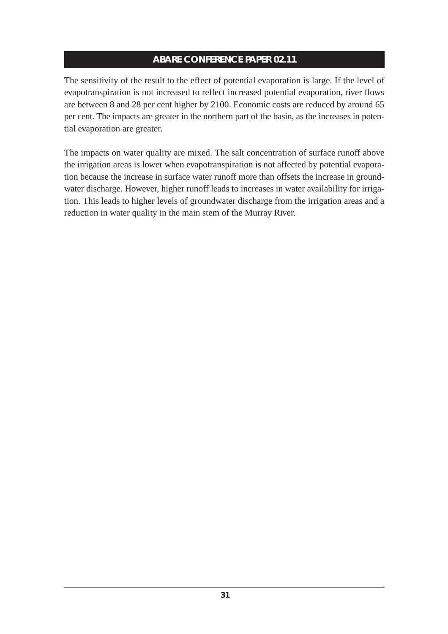The sensitivity of the result to the effect of potential evaporation is large. If the level of evapotranspiration is not increased to reflect increased potential evaporation, river flows are between 8 and 28 per cent higher by 2100. Economic costs are reduced by around 65 per cent. The impacts are greater in the northern part of the basin, as the increases in potential evaporation are greater.

The impacts on water quality are mixed. The salt concentration of surface runoff above the irrigation areas is lower when evapotranspiration is not affected by potential evaporation because the increase in surface water runoff more than offsets the increase in groundwater discharge. However, higher runoff leads to increases in water availability for irrigation. This leads to higher levels of groundwater discharge from the irrigation areas and a reduction in water quality in the main stem of the Murray River.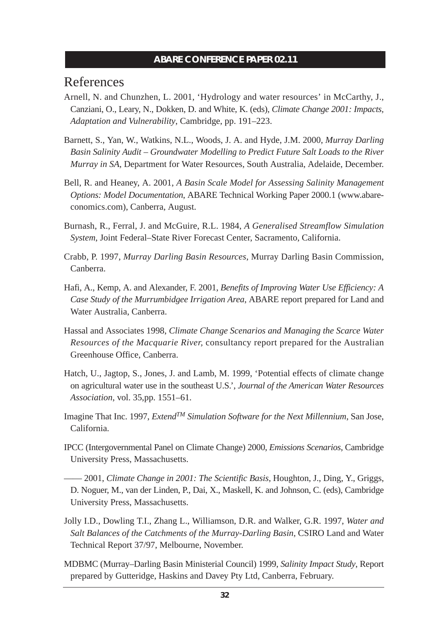## References

- Arnell, N. and Chunzhen, L. 2001, 'Hydrology and water resources' in McCarthy, J., Canziani, O., Leary, N., Dokken, D. and White, K. (eds), *Climate Change 2001: Impacts, Adaptation and Vulnerability*, Cambridge, pp. 191–223.
- Barnett, S., Yan, W., Watkins, N.L., Woods, J. A. and Hyde, J.M. 2000, *Murray Darling Basin Salinity Audit – Groundwater Modelling to Predict Future Salt Loads to the River Murray in SA*, Department for Water Resources, South Australia, Adelaide, December.
- Bell, R. and Heaney, A. 2001, *A Basin Scale Model for Assessing Salinity Management Options: Model Documentation*, ABARE Technical Working Paper 2000.1 (www.abareconomics.com), Canberra, August.
- Burnash, R., Ferral, J. and McGuire, R.L. 1984, *A Generalised Streamflow Simulation System*, Joint Federal–State River Forecast Center, Sacramento, California.
- Crabb, P. 1997, *Murray Darling Basin Resources*, Murray Darling Basin Commission, Canberra.
- Hafi, A., Kemp, A. and Alexander, F. 2001, *Benefits of Improving Water Use Efficiency: A Case Study of the Murrumbidgee Irrigation Area*, ABARE report prepared for Land and Water Australia, Canberra.
- Hassal and Associates 1998, *Climate Change Scenarios and Managing the Scarce Water Resources of the Macquarie River,* consultancy report prepared for the Australian Greenhouse Office, Canberra.
- Hatch, U., Jagtop, S., Jones, J. and Lamb, M. 1999, 'Potential effects of climate change on agricultural water use in the southeast U.S.', *Journal of the American Water Resources Association*, vol. 35,pp. 1551–61.
- Imagine That Inc. 1997, *ExtendTM Simulation Software for the Next Millennium*, San Jose, California.
- IPCC (Intergovernmental Panel on Climate Change) 2000, *Emissions Scenarios*, Cambridge University Press, Massachusetts.
- —— 2001, *Climate Change in 2001: The Scientific Basis*, Houghton, J., Ding, Y., Griggs, D. Noguer, M., van der Linden, P., Dai, X., Maskell, K. and Johnson, C. (eds), Cambridge University Press, Massachusetts.
- Jolly I.D., Dowling T.I., Zhang L., Williamson, D.R. and Walker, G.R. 1997, *Water and Salt Balances of the Catchments of the Murray-Darling Basin*, CSIRO Land and Water Technical Report 37/97, Melbourne, November.
- MDBMC (Murray–Darling Basin Ministerial Council) 1999, *Salinity Impact Study*, Report prepared by Gutteridge, Haskins and Davey Pty Ltd, Canberra, February.